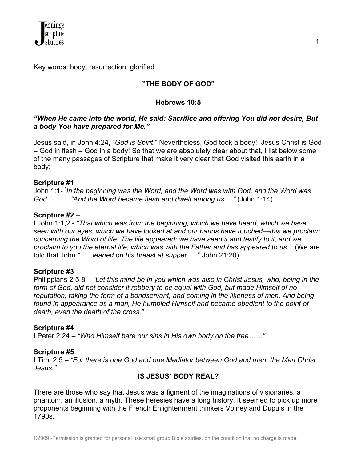

Key words: body, resurrection, glorified

# **"THE BODY OF GOD"**

#### **Hebrews 10:5**

## *"When He came into the world, He said: Sacrifice and offering You did not desire, But a body You have prepared for Me."*

Jesus said, in John 4:24, "*God is Spirit*." Nevertheless, God took a body! Jesus Christ is God – God in flesh – God in a body! So that we are absolutely clear about that, I list below some of the many passages of Scripture that make it very clear that God visited this earth in a body:

#### **Scripture #1**

John 1:1- *" In the beginning was the Word, and the Word was with God, and the Word was God."* ……. *"And the Word became flesh and dwelt among us…."* (John 1:14)

#### **Scripture #2** –

I John 1:1,2 - *"That which was from the beginning, which we have heard, which we have seen with our eyes, which we have looked at and our hands have touched—this we proclaim concerning the Word of life. The life appeared; we have seen it and testify to it, and we proclaim to you the eternal life, which was with the Father and has appeared to us."* (We are told that John *"….. leaned on his breast at supper…*.." John 21:20)

#### **Scripture #3**

Philippians 2:5-8 – *"Let this mind be in you which was also in Christ Jesus, who, being in the form of God, did not consider it robbery to be equal with God, but made Himself of no reputation, taking the form of a bondservant, and coming in the likeness of men. And being* found in appearance as a man, He humbled Himself and became obedient to the point of *death, even the death of the cross."*

#### **Scripture #4**

I Peter 2:24 – *"Who Himself bare our sins in His own body on the tree……"*

#### **Scripture #5**

I Tim, 2:5 – *"For there is one God and one Mediator between God and men, the Man Christ Jesus."* 

## **IS JESUS' BODY REAL?**

There are those who say that Jesus was a figment of the imaginations of visionaries, a phantom, an illusion, a myth. These heresies have a long history. It seemed to pick up more proponents beginning with the French Enlightenment thinkers Volney and Dupuis in the 1790s.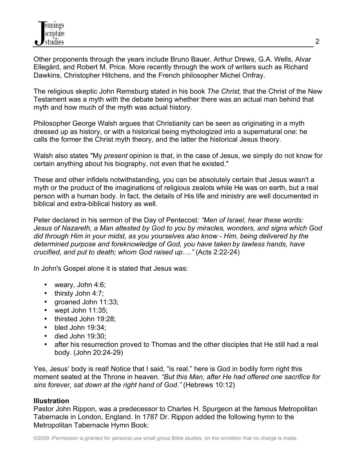Other proponents through the years include Bruno Bauer, Arthur Drews, G.A. Wells, Alvar Ellegård, and Robert M. Price. More recently through the work of writers such as Richard Dawkins, Christopher Hitchens, and the French philosopher Michel Onfray.

The religious skeptic John Remsburg stated in his book *The Christ,* that the Christ of the New Testament was a myth with the debate being whether there was an actual man behind that myth and how much of the myth was actual history.

Philosopher George Walsh argues that Christianity can be seen as originating in a myth dressed up as history, or with a historical being mythologized into a supernatural one: he calls the former the Christ myth theory, and the latter the historical Jesus theory.

Walsh also states "My *present* opinion is that, in the case of Jesus, we simply do not know for certain anything about his biography, not even that he existed."

These and other infidels notwithstanding, you can be absolutely certain that Jesus wasn't a myth or the product of the imaginations of religious zealots while He was on earth, but a real person with a human body. In fact, the details of His life and ministry are well documented in biblical and extra-biblical history as well.

Peter declared in his sermon of the Day of Pentecost*: "Men of Israel, hear these words: Jesus of Nazareth, a Man attested by God to you by miracles, wonders, and signs which God did through Him in your midst, as you yourselves also know - Him, being delivered by the determined purpose and foreknowledge of God, you have taken by lawless hands, have crucified, and put to death; whom God raised up…."* (Acts 2:22-24)

In John's Gospel alone it is stated that Jesus was:

- weary, John 4:6;
- thirsty John 4:7;
- groaned John 11:33;
- wept John 11:35;
- thirsted John 19:28;
- bled John 19:34;
- died John 19:30:
- after his resurrection proved to Thomas and the other disciples that He still had a real body. (John 20:24-29)

Yes, Jesus' body is real! Notice that I said, "is real." here is God in bodily form right this moment seated at the Throne in heaven. *"But this Man, after He had offered one sacrifice for sins forever, sat down at the right hand of God."* (Hebrews 10:12)

## **Illustration**

Pastor John Rippon, was a predecessor to Charles H. Spurgeon at the famous Metropolitan Tabernacle in London, England. In 1787 Dr. Rippon added the following hymn to the Metropolitan Tabernacle Hymn Book: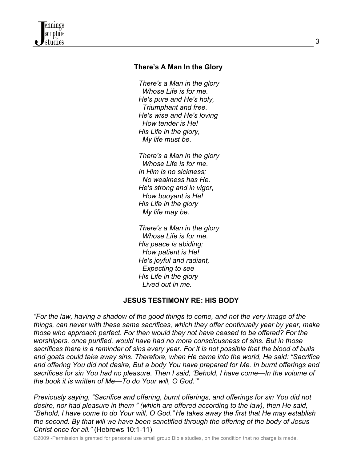

#### **There's A Man In the Glory**

*There's a Man in the glory Whose Life is for me. He's pure and He's holy, Triumphant and free. He's wise and He's loving How tender is He! His Life in the glory, My life must be.*

*There's a Man in the glory Whose Life is for me. In Him is no sickness; No weakness has He. He's strong and in vigor, How buoyant is He! His Life in the glory My life may be.*

*There's a Man in the glory Whose Life is for me. His peace is abiding; How patient is He! He's joyful and radiant, Expecting to see His Life in the glory Lived out in me.* 

#### **JESUS TESTIMONY RE: HIS BODY**

*"For the law, having a shadow of the good things to come, and not the very image of the things, can never with these same sacrifices, which they offer continually year by year, make those who approach perfect. For then would they not have ceased to be offered? For the worshipers, once purified, would have had no more consciousness of sins. But in those sacrifices there is a reminder of sins every year. For it is not possible that the blood of bulls and goats could take away sins. Therefore, when He came into the world, He said: "Sacrifice and offering You did not desire, But a body You have prepared for Me. In burnt offerings and sacrifices for sin You had no pleasure. Then I said, 'Behold, I have come—In the volume of the book it is written of Me—To do Your will, O God.'"*

*Previously saying, "Sacrifice and offering, burnt offerings, and offerings for sin You did not desire, nor had pleasure in them " (which are offered according to the law), then He said, "Behold, I have come to do Your will, O God." He takes away the first that He may establish the second. By that will we have been sanctified through the offering of the body of Jesus Christ once for all."* (Hebrews 10:1-11)

©2009 -Permission is granted for personal use small group Bible studies, on the condition that no charge is made.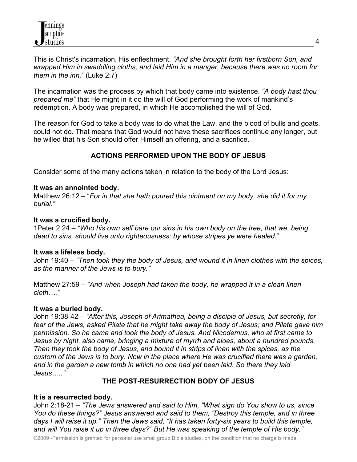This is Christ's incarnation, His enfleshment. *"And she brought forth her firstborn Son, and wrapped Him in swaddling cloths, and laid Him in a manger, because there was no room for them in the inn."* (Luke 2:7)

The incarnation was the process by which that body came into existence. *"A body hast thou prepared me"* that He might in it do the will of God performing the work of mankind's redemption. A body was prepared, in which He accomplished the will of God.

The reason for God to take a body was to do what the Law, and the blood of bulls and goats, could not do. That means that God would not have these sacrifices continue any longer, but he willed that his Son should offer Himself an offering, and a sacrifice.

# **ACTIONS PERFORMED UPON THE BODY OF JESUS**

Consider some of the many actions taken in relation to the body of the Lord Jesus:

## **It was an annointed body.**

Matthew 26:12 – "*For in that she hath poured this ointment on my body, she did it for my burial."*

## **It was a crucified body.**

1Peter 2:24 – *"Who his own self bare our sins in his own body on the tree, that we, being dead to sins, should live unto righteousness: by whose stripes ye were healed.*"

## **It was a lifeless body.**

John 19:40 – *"Then took they the body of Jesus, and wound it in linen clothes with the spices, as the manner of the Jews is to bury."* 

Matthew 27:59 – *"And when Joseph had taken the body, he wrapped it in a clean linen cloth…."*

## **It was a buried body.**

John 19:38-42 – *"After this, Joseph of Arimathea, being a disciple of Jesus, but secretly, for fear of the Jews, asked Pilate that he might take away the body of Jesus; and Pilate gave him permission. So he came and took the body of Jesus. And Nicodemus, who at first came to Jesus by night, also came, bringing a mixture of myrrh and aloes, about a hundred pounds. Then they took the body of Jesus, and bound it in strips of linen with the spices, as the custom of the Jews is to bury. Now in the place where He was crucified there was a garden, and in the garden a new tomb in which no one had yet been laid. So there they laid Jesus….."*

## **THE POST-RESURRECTION BODY OF JESUS**

# **It is a resurrected body.**

John 2:18-21 – *"The Jews answered and said to Him, "What sign do You show to us, since You do these things?" Jesus answered and said to them, "Destroy this temple, and in three days I will raise it up." Then the Jews said, "It has taken forty-six years to build this temple, and will You raise it up in three days?" But He was speaking of the temple of His body."*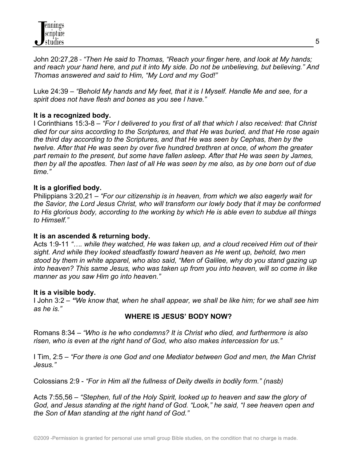

John 20:27,28 - *"Then He said to Thomas, "Reach your finger here, and look at My hands; and reach your hand here, and put it into My side. Do not be unbelieving, but believing." And Thomas answered and said to Him, "My Lord and my God!"*

Luke 24:39 – *"Behold My hands and My feet, that it is I Myself. Handle Me and see, for a spirit does not have flesh and bones as you see I have."*

#### **It is a recognized body.**

I Corinthians 15:3-8 – *"For I delivered to you first of all that which I also received: that Christ died for our sins according to the Scriptures, and that He was buried, and that He rose again the third day according to the Scriptures, and that He was seen by Cephas, then by the twelve. After that He was seen by over five hundred brethren at once, of whom the greater part remain to the present, but some have fallen asleep. After that He was seen by James, then by all the apostles. Then last of all He was seen by me also, as by one born out of due time."*

#### **It is a glorified body.**

Philippians 3:20,21 – *"For our citizenship is in heaven, from which we also eagerly wait for the Savior, the Lord Jesus Christ, who will transform our lowly body that it may be conformed to His glorious body, according to the working by which He is able even to subdue all things to Himself."*

#### **It is an ascended & returning body.**

Acts 1:9-11 *"…. while they watched, He was taken up, and a cloud received Him out of their sight. And while they looked steadfastly toward heaven as He went up, behold, two men stood by them in white apparel, who also said, "Men of Galilee, why do you stand gazing up into heaven? This same Jesus, who was taken up from you into heaven, will so come in like manner as you saw Him go into heaven."*

#### **It is a visible body.**

I John 3:2 – *"We know that, when he shall appear, we shall be like him; for we shall see him as he is."*

## **WHERE IS JESUS' BODY NOW?**

Romans 8:34 – *"Who is he who condemns? It is Christ who died, and furthermore is also risen, who is even at the right hand of God, who also makes intercession for us."*

I Tim, 2:5 – *"For there is one God and one Mediator between God and men, the Man Christ Jesus."* 

Colossians 2:9 - *"For in Him all the fullness of Deity dwells in bodily form." (nasb)*

Acts 7:55,56 – *"Stephen, full of the Holy Spirit, looked up to heaven and saw the glory of God, and Jesus standing at the right hand of God. "Look," he said, "I see heaven open and the Son of Man standing at the right hand of God."*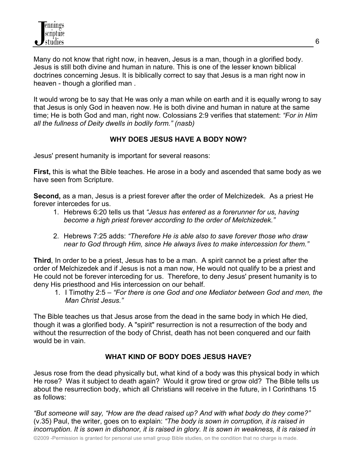Many do not know that right now, in heaven, Jesus is a man, though in a glorified body. Jesus is still both divine and human in nature. This is one of the lesser known biblical doctrines concerning Jesus. It is biblically correct to say that Jesus is a man right now in heaven - though a glorified man .

It would wrong be to say that He was only a man while on earth and it is equally wrong to say that Jesus is only God in heaven now. He is both divine and human in nature at the same time; He is both God and man, right now. Colossians 2:9 verifies that statement: *"For in Him all the fullness of Deity dwells in bodily form." (nasb)*

# **WHY DOES JESUS HAVE A BODY NOW?**

Jesus' present humanity is important for several reasons:

**First,** this is what the Bible teaches. He arose in a body and ascended that same body as we have seen from Scripture.

**Second,** as a man, Jesus is a priest forever after the order of Melchizedek. As a priest He forever intercedes for us.

- 1. Hebrews 6:20 tells us that *"Jesus has entered as a forerunner for us, having become a high priest forever according to the order of Melchizedek."*
- 2. Hebrews 7:25 adds: *"Therefore He is able also to save forever those who draw near to God through Him, since He always lives to make intercession for them."*

**Third**, In order to be a priest, Jesus has to be a man. A spirit cannot be a priest after the order of Melchizedek and if Jesus is not a man now, He would not qualify to be a priest and He could not be forever interceding for us. Therefore, to deny Jesus' present humanity is to deny His priesthood and His intercession on our behalf.

1. I Timothy 2:5 – *"For there is one God and one Mediator between God and men, the Man Christ Jesus."*

The Bible teaches us that Jesus arose from the dead in the same body in which He died, though it was a glorified body. A "spirit" resurrection is not a resurrection of the body and without the resurrection of the body of Christ, death has not been conquered and our faith would be in vain.

# **WHAT KIND OF BODY DOES JESUS HAVE?**

Jesus rose from the dead physically but, what kind of a body was this physical body in which He rose? Was it subject to death again? Would it grow tired or grow old? The Bible tells us about the resurrection body, which all Christians will receive in the future, in I Corinthans 15 as follows:

*"But someone will say, "How are the dead raised up? And with what body do they come?"*  (v.35) Paul, the writer, goes on to explain: *"The body is sown in corruption, it is raised in incorruption. It is sown in dishonor, it is raised in glory. It is sown in weakness, it is raised in*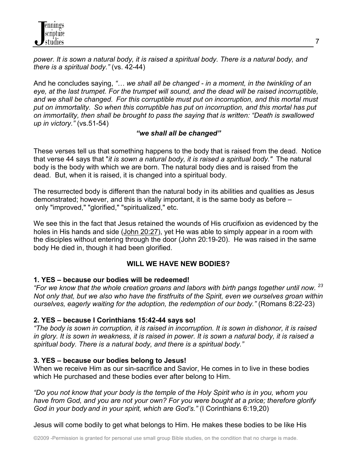*power. It is sown a natural body, it is raised a spiritual body. There is a natural body, and there is a spiritual body."* (vs. 42-44)

And he concludes saying, *"… we shall all be changed - in a moment, in the twinkling of an eye, at the last trumpet. For the trumpet will sound, and the dead will be raised incorruptible, and we shall be changed. For this corruptible must put on incorruption, and this mortal must put on immortality. So when this corruptible has put on incorruption, and this mortal has put on immortality, then shall be brought to pass the saying that is written: "Death is swallowed up in victory."* (vs.51-54)

# *"we shall all be changed"*

These verses tell us that something happens to the body that is raised from the dead. Notice that verse 44 says that "*it is sown a natural body, it is raised a spiritual body."* The natural body is the body with which we are born. The natural body dies and is raised from the dead. But, when it is raised, it is changed into a spiritual body.

The resurrected body is different than the natural body in its abilities and qualities as Jesus demonstrated; however, and this is vitally important, it is the same body as before – only "improved," "glorified," "spiritualized," etc.

We see this in the fact that Jesus retained the wounds of His crucifixion as evidenced by the holes in His hands and side (John 20:27), yet He was able to simply appear in a room with the disciples without entering through the door (John 20:19-20). He was raised in the same body He died in, though it had been glorified.

# **WILL WE HAVE NEW BODIES?**

## **1. YES – because our bodies will be redeemed!**

*"For we know that the whole creation groans and labors with birth pangs together until now. 23 Not only that, but we also who have the firstfruits of the Spirit, even we ourselves groan within ourselves, eagerly waiting for the adoption, the redemption of our body."* (Romans 8:22-23)

# **2. YES – because I Corinthians 15:42-44 says so!**

*"The body is sown in corruption, it is raised in incorruption. It is sown in dishonor, it is raised*  in glory. It is sown in weakness, it is raised in power. It is sown a natural body, it is raised a *spiritual body. There is a natural body, and there is a spiritual body."*

# **3. YES – because our bodies belong to Jesus!**

When we receive Him as our sin-sacrifice and Savior, He comes in to live in these bodies which He purchased and these bodies ever after belong to Him.

*"Do you not know that your body is the temple of the Holy Spirit who is in you, whom you have from God, and you are not your own? For you were bought at a price; therefore glorify God in your body and in your spirit, which are God's."* (I Corinthians 6:19,20)

Jesus will come bodily to get what belongs to Him. He makes these bodies to be like His